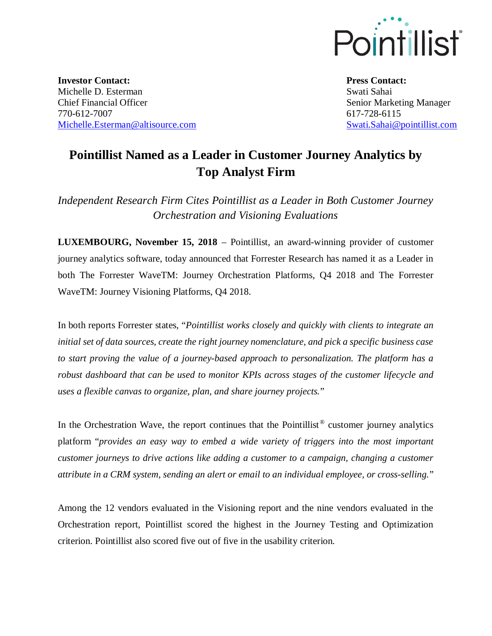

**Investor Contact:** Michelle D. Esterman Chief Financial Officer 770-612-7007 Michelle.Esterman@altisource.com **Press Contact:** Swati Sahai Senior Marketing Manager 617-728-6115 Swati.Sahai@pointillist.com

## **Pointillist Named as a Leader in Customer Journey Analytics by Top Analyst Firm**

*Independent Research Firm Cites Pointillist as a Leader in Both Customer Journey Orchestration and Visioning Evaluations*

**LUXEMBOURG, November 15, 2018** – Pointillist, an award-winning provider of customer journey analytics software, today announced that Forrester Research has named it as a Leader in both The Forrester WaveTM: Journey Orchestration Platforms, Q4 2018 and The Forrester WaveTM: Journey Visioning Platforms, Q4 2018.

In both reports Forrester states, "*Pointillist works closely and quickly with clients to integrate an initial set of data sources, create the right journey nomenclature, and pick a specific business case to start proving the value of a journey-based approach to personalization. The platform has a robust dashboard that can be used to monitor KPIs across stages of the customer lifecycle and uses a flexible canvas to organize, plan, and share journey projects.*"

In the Orchestration Wave, the report continues that the Pointillist<sup>®</sup> customer journey analytics platform "*provides an easy way to embed a wide variety of triggers into the most important customer journeys to drive actions like adding a customer to a campaign, changing a customer attribute in a CRM system, sending an alert or email to an individual employee, or cross-selling.*"

Among the 12 vendors evaluated in the Visioning report and the nine vendors evaluated in the Orchestration report, Pointillist scored the highest in the Journey Testing and Optimization criterion. Pointillist also scored five out of five in the usability criterion.